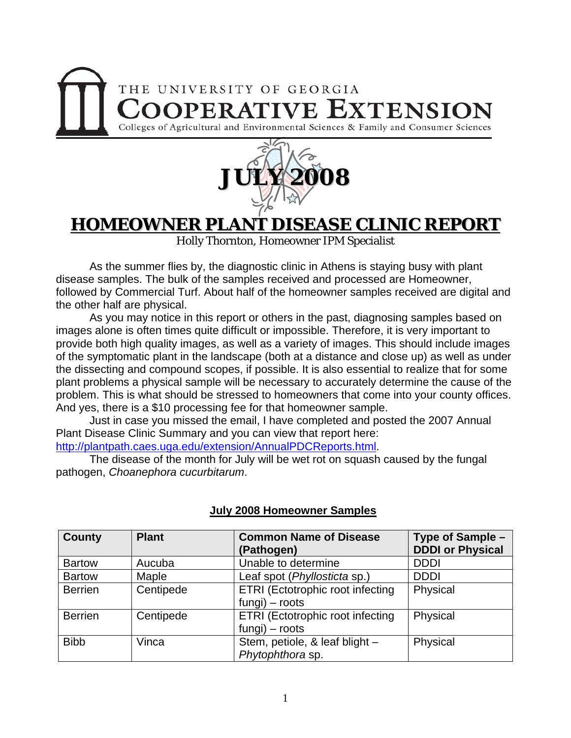## THE UNIVERSITY OF GEORGIA **OOPERATIVE EXTENSION** Colleges of Agricultural and Environmental Sciences & Family and Consumer Sciences



### **HOMEOWNER PLANT DISEASE CLINIC REPORT**

Holly Thornton, Homeowner IPM Specialist

 As the summer flies by, the diagnostic clinic in Athens is staying busy with plant disease samples. The bulk of the samples received and processed are Homeowner, followed by Commercial Turf. About half of the homeowner samples received are digital and the other half are physical.

 As you may notice in this report or others in the past, diagnosing samples based on images alone is often times quite difficult or impossible. Therefore, it is very important to provide both high quality images, as well as a variety of images. This should include images of the symptomatic plant in the landscape (both at a distance and close up) as well as under the dissecting and compound scopes, if possible. It is also essential to realize that for some plant problems a physical sample will be necessary to accurately determine the cause of the problem. This is what should be stressed to homeowners that come into your county offices. And yes, there is a \$10 processing fee for that homeowner sample.

 Just in case you missed the email, I have completed and posted the 2007 Annual Plant Disease Clinic Summary and you can view that report here:

[http://plantpath.caes.uga.edu/extension/AnnualPDCReports.html.](http://plantpath.caes.uga.edu/extension/AnnualPDCReports.html)

 The disease of the month for July will be wet rot on squash caused by the fungal pathogen, *Choanephora cucurbitarum*.

| <b>County</b>  | <b>Plant</b> | <b>Common Name of Disease</b><br>(Pathogen)          | Type of Sample -<br><b>DDDI or Physical</b> |
|----------------|--------------|------------------------------------------------------|---------------------------------------------|
| <b>Bartow</b>  | Aucuba       | Unable to determine                                  | <b>DDDI</b>                                 |
| <b>Bartow</b>  | Maple        | Leaf spot (Phyllosticta sp.)                         | <b>DDDI</b>                                 |
| <b>Berrien</b> | Centipede    | ETRI (Ectotrophic root infecting<br>$fungi)$ – roots | Physical                                    |
| <b>Berrien</b> | Centipede    | ETRI (Ectotrophic root infecting<br>$fungi)$ – roots | Physical                                    |
| <b>Bibb</b>    | Vinca        | Stem, petiole, & leaf blight -<br>Phytophthora sp.   | Physical                                    |

### **July 2008 Homeowner Samples**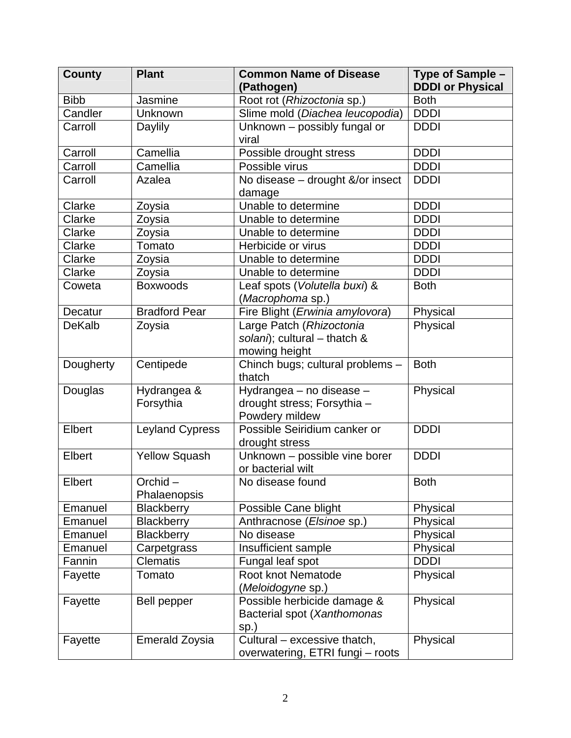| <b>County</b> | <b>Plant</b>               | <b>Common Name of Disease</b><br>(Pathogen)                               | Type of Sample -<br><b>DDDI or Physical</b> |
|---------------|----------------------------|---------------------------------------------------------------------------|---------------------------------------------|
| <b>Bibb</b>   | Jasmine                    | Root rot (Rhizoctonia sp.)                                                | <b>Both</b>                                 |
| Candler       | Unknown                    | Slime mold (Diachea leucopodia)                                           | <b>DDDI</b>                                 |
| Carroll       | Daylily                    | Unknown - possibly fungal or<br>viral                                     | <b>DDDI</b>                                 |
| Carroll       | Camellia                   | Possible drought stress                                                   | <b>DDDI</b>                                 |
| Carroll       | Camellia                   | Possible virus                                                            | <b>DDDI</b>                                 |
| Carroll       | Azalea                     | No disease - drought &/or insect<br>damage                                | <b>DDDI</b>                                 |
| Clarke        | Zoysia                     | Unable to determine                                                       | <b>DDDI</b>                                 |
| Clarke        | Zoysia                     | Unable to determine                                                       | <b>DDDI</b>                                 |
| Clarke        | Zoysia                     | Unable to determine                                                       | <b>DDDI</b>                                 |
| Clarke        | Tomato                     | Herbicide or virus                                                        | <b>DDDI</b>                                 |
| Clarke        | Zoysia                     | Unable to determine                                                       | <b>DDDI</b>                                 |
| Clarke        | Zoysia                     | Unable to determine                                                       | <b>DDDI</b>                                 |
| Coweta        | <b>Boxwoods</b>            | Leaf spots (Volutella buxi) &<br>(Macrophoma sp.)                         | <b>Both</b>                                 |
| Decatur       | <b>Bradford Pear</b>       | Fire Blight (Erwinia amylovora)                                           | Physical                                    |
| <b>DeKalb</b> | Zoysia                     | Large Patch (Rhizoctonia<br>solani); cultural - thatch &<br>mowing height | Physical                                    |
| Dougherty     | Centipede                  | Chinch bugs; cultural problems -<br>thatch                                | <b>Both</b>                                 |
| Douglas       | Hydrangea &<br>Forsythia   | Hydrangea - no disease -<br>drought stress; Forsythia -<br>Powdery mildew | Physical                                    |
| Elbert        | <b>Leyland Cypress</b>     | Possible Seiridium canker or<br>drought stress                            | <b>DDDI</b>                                 |
| Elbert        | <b>Yellow Squash</b>       | Unknown - possible vine borer<br>or bacterial wilt                        | <b>DDDI</b>                                 |
| Elbert        | $Orchid -$<br>Phalaenopsis | No disease found                                                          | <b>Both</b>                                 |
| Emanuel       | <b>Blackberry</b>          | Possible Cane blight                                                      | Physical                                    |
| Emanuel       | <b>Blackberry</b>          | Anthracnose (Elsinoe sp.)                                                 | Physical                                    |
| Emanuel       | <b>Blackberry</b>          | No disease                                                                | Physical                                    |
| Emanuel       | Carpetgrass                | Insufficient sample                                                       | Physical                                    |
| Fannin        | <b>Clematis</b>            | Fungal leaf spot                                                          | <b>DDDI</b>                                 |
| Fayette       | Tomato                     | Root knot Nematode<br>(Meloidogyne sp.)                                   | Physical                                    |
| Fayette       | Bell pepper                | Possible herbicide damage &<br>Bacterial spot (Xanthomonas<br>sp.)        | Physical                                    |
| Fayette       | <b>Emerald Zoysia</b>      | Cultural - excessive thatch,<br>overwatering, ETRI fungi - roots          | Physical                                    |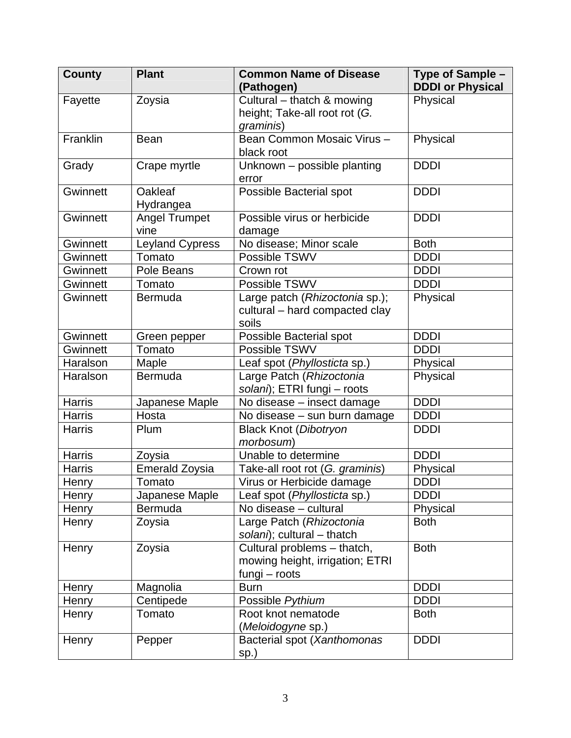| <b>County</b>   | <b>Plant</b>                 | <b>Common Name of Disease</b><br>(Pathogen)                                     | Type of Sample -<br><b>DDDI or Physical</b> |
|-----------------|------------------------------|---------------------------------------------------------------------------------|---------------------------------------------|
| Fayette         | Zoysia                       | Cultural - thatch & mowing<br>height; Take-all root rot (G.<br>graminis)        | Physical                                    |
| Franklin        | <b>Bean</b>                  | Bean Common Mosaic Virus -<br>black root                                        | Physical                                    |
| Grady           | Crape myrtle                 | Unknown - possible planting<br>error                                            | <b>DDDI</b>                                 |
| Gwinnett        | Oakleaf<br>Hydrangea         | Possible Bacterial spot                                                         | <b>DDDI</b>                                 |
| Gwinnett        | <b>Angel Trumpet</b><br>vine | Possible virus or herbicide<br>damage                                           | <b>DDDI</b>                                 |
| Gwinnett        | <b>Leyland Cypress</b>       | No disease; Minor scale                                                         | <b>Both</b>                                 |
| <b>Gwinnett</b> | Tomato                       | Possible TSWV                                                                   | <b>DDDI</b>                                 |
| Gwinnett        | Pole Beans                   | Crown rot                                                                       | <b>DDDI</b>                                 |
| Gwinnett        | Tomato                       | Possible TSWV                                                                   | <b>DDDI</b>                                 |
| Gwinnett        | <b>Bermuda</b>               | Large patch (Rhizoctonia sp.);<br>cultural - hard compacted clay<br>soils       | Physical                                    |
| Gwinnett        | Green pepper                 | Possible Bacterial spot                                                         | <b>DDDI</b>                                 |
| Gwinnett        | Tomato                       | Possible TSWV                                                                   | <b>DDDI</b>                                 |
| Haralson        | Maple                        | Leaf spot (Phyllosticta sp.)                                                    | Physical                                    |
| Haralson        | <b>Bermuda</b>               | Large Patch (Rhizoctonia<br>solani); ETRI fungi - roots                         | Physical                                    |
| <b>Harris</b>   | Japanese Maple               | No disease - insect damage                                                      | <b>DDDI</b>                                 |
| <b>Harris</b>   | Hosta                        | No disease - sun burn damage                                                    | <b>DDDI</b>                                 |
| <b>Harris</b>   | Plum                         | <b>Black Knot (Dibotryon</b><br>morbosum)                                       | <b>DDDI</b>                                 |
| <b>Harris</b>   | Zoysia                       | Unable to determine                                                             | <b>DDDI</b>                                 |
| <b>Harris</b>   | <b>Emerald Zoysia</b>        | Take-all root rot (G. graminis)                                                 | Physical                                    |
| Henry           | Tomato                       | Virus or Herbicide damage                                                       | <b>DDDI</b>                                 |
| Henry           | Japanese Maple               | Leaf spot (Phyllosticta sp.)                                                    | <b>DDDI</b>                                 |
| Henry           | Bermuda                      | No disease - cultural                                                           | Physical                                    |
| Henry           | Zoysia                       | Large Patch (Rhizoctonia<br>solani); cultural - thatch                          | <b>Both</b>                                 |
| Henry           | Zoysia                       | Cultural problems - thatch,<br>mowing height, irrigation; ETRI<br>fungi – roots | <b>Both</b>                                 |
| Henry           | Magnolia                     | <b>Burn</b>                                                                     | <b>DDDI</b>                                 |
| Henry           | Centipede                    | Possible Pythium                                                                | <b>DDDI</b>                                 |
| Henry           | Tomato                       | Root knot nematode<br>(Meloidogyne sp.)                                         | <b>Both</b>                                 |
| Henry           | Pepper                       | Bacterial spot (Xanthomonas<br>sp.)                                             | <b>DDDI</b>                                 |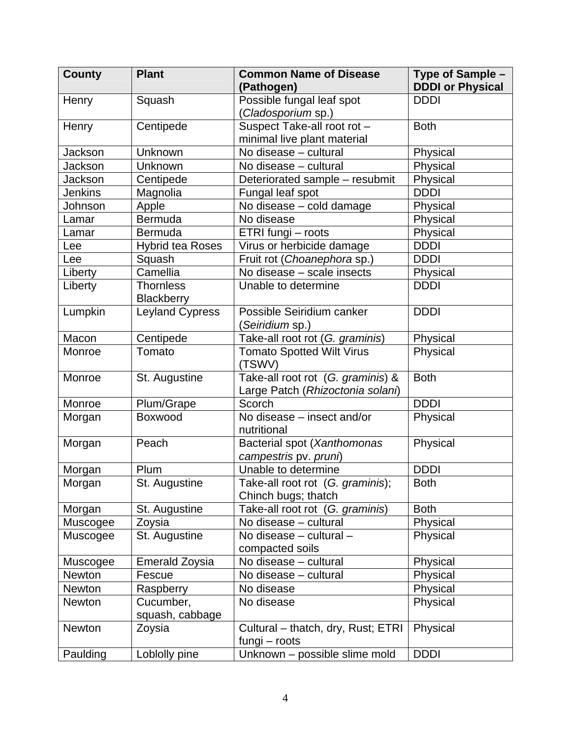| <b>County</b>  | <b>Plant</b>            | <b>Common Name of Disease</b>              | Type of Sample -        |
|----------------|-------------------------|--------------------------------------------|-------------------------|
|                |                         | (Pathogen)                                 | <b>DDDI or Physical</b> |
| Henry          | Squash                  | Possible fungal leaf spot                  | <b>DDDI</b>             |
|                |                         | (Cladosporium sp.)                         |                         |
| Henry          | Centipede               | Suspect Take-all root rot -                | <b>Both</b>             |
|                |                         | minimal live plant material                |                         |
| Jackson        | Unknown                 | No disease - cultural                      | Physical                |
| <b>Jackson</b> | Unknown                 | No disease - cultural                      | Physical                |
| <b>Jackson</b> | Centipede               | Deteriorated sample - resubmit             | Physical                |
| <b>Jenkins</b> | Magnolia                | Fungal leaf spot                           | <b>DDDI</b>             |
| Johnson        | Apple                   | No disease - cold damage                   | Physical                |
| Lamar          | Bermuda                 | No disease                                 | Physical                |
| Lamar          | Bermuda                 | ETRI fungi - roots                         | Physical                |
| Lee            | <b>Hybrid tea Roses</b> | Virus or herbicide damage                  | <b>DDDI</b>             |
| Lee            | Squash                  | Fruit rot (Choanephora sp.)                | <b>DDDI</b>             |
| Liberty        | Camellia                | No disease - scale insects                 | Physical                |
| Liberty        | <b>Thornless</b>        | Unable to determine                        | <b>DDDI</b>             |
|                | Blackberry              |                                            |                         |
| Lumpkin        | <b>Leyland Cypress</b>  | Possible Seiridium canker                  | <b>DDDI</b>             |
|                |                         | ( <i>Seiridium</i> sp.)                    |                         |
| Macon          | Centipede               | Take-all root rot (G. graminis)            | Physical                |
| Monroe         | Tomato                  | <b>Tomato Spotted Wilt Virus</b><br>(TSWV) | Physical                |
| Monroe         | St. Augustine           | Take-all root rot (G. graminis) &          | <b>Both</b>             |
|                |                         | Large Patch (Rhizoctonia solani)           |                         |
| Monroe         | Plum/Grape              | Scorch                                     | <b>DDDI</b>             |
| Morgan         | Boxwood                 | No disease - insect and/or                 | Physical                |
|                |                         | nutritional                                |                         |
| Morgan         | Peach                   | Bacterial spot (Xanthomonas                | Physical                |
|                |                         | campestris pv. pruni)                      |                         |
| Morgan         | Plum                    | Unable to determine                        | <b>DDDI</b>             |
| Morgan         | St. Augustine           | Take-all root rot (G. graminis);           | <b>Both</b>             |
|                |                         | Chinch bugs; thatch                        |                         |
| Morgan         | St. Augustine           | Take-all root rot (G. graminis)            | <b>Both</b>             |
| Muscogee       | Zoysia                  | No disease - cultural                      | Physical                |
| Muscogee       | St. Augustine           | No disease - cultural -                    | Physical                |
|                |                         | compacted soils                            |                         |
| Muscogee       | <b>Emerald Zoysia</b>   | No disease - cultural                      | Physical                |
| <b>Newton</b>  | Fescue                  | No disease – cultural                      | Physical                |
| Newton         | Raspberry               | No disease                                 | Physical                |
| <b>Newton</b>  | Cucumber,               | No disease                                 | Physical                |
|                | squash, cabbage         |                                            |                         |
| Newton         | Zoysia                  | Cultural - thatch, dry, Rust; ETRI         | Physical                |
|                |                         | fungi - roots                              |                         |
| Paulding       | Loblolly pine           | Unknown - possible slime mold              | <b>DDDI</b>             |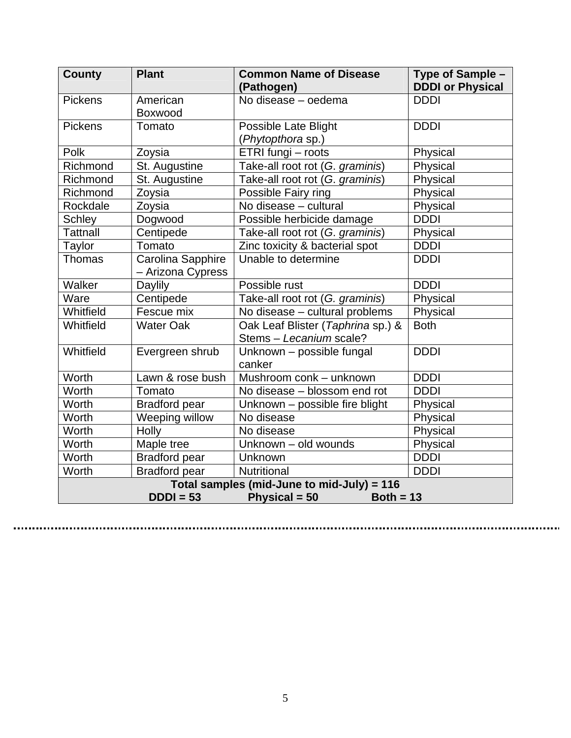| <b>County</b>                                                                             | <b>Plant</b>         | <b>Common Name of Disease</b>                                | Type of Sample -        |
|-------------------------------------------------------------------------------------------|----------------------|--------------------------------------------------------------|-------------------------|
|                                                                                           |                      | (Pathogen)                                                   | <b>DDDI or Physical</b> |
| <b>Pickens</b>                                                                            | American             | No disease - oedema                                          | <b>DDDI</b>             |
|                                                                                           | Boxwood              |                                                              |                         |
| <b>Pickens</b>                                                                            | Tomato               | Possible Late Blight                                         | <b>DDDI</b>             |
|                                                                                           |                      | (Phytopthora sp.)                                            |                         |
| Polk                                                                                      | Zoysia               | ETRI fungi - roots                                           | Physical                |
| Richmond                                                                                  | St. Augustine        | Take-all root rot (G. graminis)                              | Physical                |
| Richmond                                                                                  | St. Augustine        | Take-all root rot (G. graminis)                              | Physical                |
| Richmond                                                                                  | Zoysia               | Possible Fairy ring                                          | Physical                |
| Rockdale                                                                                  | Zoysia               | No disease - cultural                                        | Physical                |
| <b>Schley</b>                                                                             | Dogwood              | Possible herbicide damage                                    | <b>DDDI</b>             |
| <b>Tattnall</b>                                                                           | Centipede            | Take-all root rot (G. graminis)                              | Physical                |
| <b>Taylor</b>                                                                             | Tomato               | Zinc toxicity & bacterial spot                               | <b>DDDI</b>             |
| Thomas                                                                                    | Carolina Sapphire    | Unable to determine                                          | <b>DDDI</b>             |
|                                                                                           | - Arizona Cypress    |                                                              |                         |
| Walker                                                                                    | Daylily              | Possible rust                                                | <b>DDDI</b>             |
| Ware                                                                                      | Centipede            | Take-all root rot (G. graminis)                              | Physical                |
| Whitfield                                                                                 | Fescue mix           | No disease - cultural problems                               | Physical                |
| Whitfield                                                                                 | <b>Water Oak</b>     | Oak Leaf Blister (Taphrina sp.) &<br>Stems - Lecanium scale? | <b>Both</b>             |
| Whitfield                                                                                 | Evergreen shrub      | Unknown - possible fungal<br>canker                          | <b>DDDI</b>             |
| Worth                                                                                     | Lawn & rose bush     | Mushroom conk - unknown                                      | <b>DDDI</b>             |
| Worth                                                                                     | Tomato               | No disease - blossom end rot                                 | <b>DDDI</b>             |
| Worth                                                                                     | <b>Bradford pear</b> | Unknown - possible fire blight                               | Physical                |
| Worth                                                                                     | Weeping willow       | No disease                                                   | Physical                |
| Worth                                                                                     | Holly                | No disease                                                   | Physical                |
| Worth                                                                                     | Maple tree           | Unknown - old wounds                                         | Physical                |
| Worth                                                                                     | <b>Bradford pear</b> | Unknown                                                      | <b>DDDI</b>             |
| Worth                                                                                     | <b>Bradford pear</b> | Nutritional                                                  | <b>DDDI</b>             |
| Total samples (mid-June to mid-July) = 116<br>Physical = 50<br>$DDDI = 53$<br>Both = $13$ |                      |                                                              |                         |